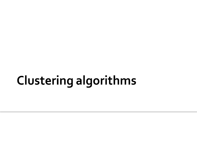# **Clustering algorithms**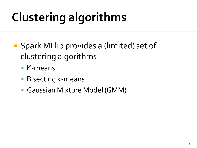# **Clustering algorithms**

- Spark MLlib provides a (limited) set of clustering algorithms
	- K-means
	- Bisecting k-means
	- Gaussian Mixture Model (GMM)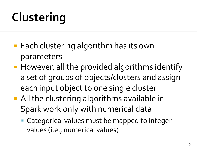# Clustering

- Each clustering algorithm has its own parameters
- However, all the provided algorithms identify a set of groups of objects/clusters and assign each input object to one single cluster
- **All the clustering algorithms available in** Spark work only with numerical data
	- Categorical values must be mapped to integer values (i.e., numerical values)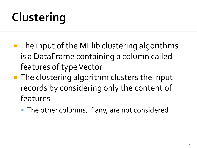# Clustering

- **The input of the MLIIb clustering algorithms** is a DataFrame containing a column called features of type Vector
- **The clustering algorithm clusters the input** records by considering only the content of features
	- **The other columns, if any, are not considered**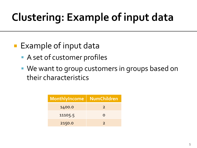## **Clustering: Example of input data**

- **Example of input data** 
	- A set of customer profiles
	- We want to group customers in groups based on their characteristics

| MonthlyIncome | NumChildren   |  |
|---------------|---------------|--|
| 1400.0        | $\mathcal{L}$ |  |
| 11105.5       | O             |  |
| 2150.0        |               |  |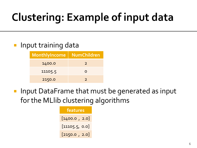## **Clustering: Example of input data**

#### Input training data

| <b>MonthlyIncome</b> | <b>NumChildren</b> |  |
|----------------------|--------------------|--|
| 1400.0               | $\mathcal{L}$      |  |
| 11105.5              | O                  |  |
| 2150.0               |                    |  |

**Input DataFrame that must be generated as input** for the MLlib clustering algorithms

| features       |  |
|----------------|--|
| [1400.0, 2.0]  |  |
| [11105.5, 0.0] |  |
| [2150.0, 2.0]  |  |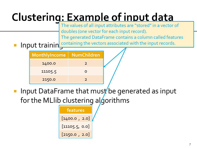## Clustering: Example of input data

The values of all input attributes are "stored" in a vector of doubles (one vector for each input record).

The generated DataFrame contains a column called features

**nd Input trainin** containing the vectors associated with the input records.

| <b>MonthlyIncome</b> | <b>NumChildren</b> |  |
|----------------------|--------------------|--|
| 1400.0               | $\mathcal{P}$      |  |
| 11105.5              |                    |  |
| 2150.0               |                    |  |

Input DataFrame that must be generated as input for the MLIib clustering algorithms

**features** [1400.0 , 2.0] [11105.5, 0.0] [2150.0 , 2.0]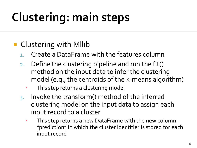## **Clustering: main steps**

#### **Clustering with Millib**

- 1. Create a DataFrame with the features column
- 2. Define the clustering pipeline and run the fit() method on the input data to infer the clustering model (e.g., the centroids of the k-means algorithm)
	- This step returns a clustering model
- 3. Invoke the transform() method of the inferred clustering model on the input data to assign each input record to a cluster
	- This step returns a new DataFrame with the new column "prediction" in which the cluster identifier is stored for each input record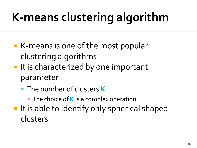- K-means is one of the most popular clustering algorithms
- **If it is characterized by one important** parameter
	- The number of clusters **K**
		- **The choice of K** is a complex operation
- It is able to identify only spherical shaped clusters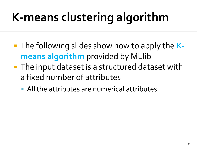- The following slides show how to apply the **Kmeans algorithm** provided by MLlib
- The input dataset is a structured dataset with a fixed number of attributes
	- All the attributes are numerical attributes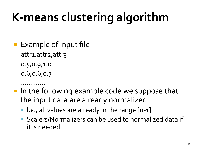- Example of input file
	- attr1, attr2, attr3
	- 0.5,0.9,1.0
	- 0.6,0.6,0.7
- …………… ■ In the following example code we suppose that the input data are already normalized
	- I.e., all values are already in the range [o-1]
	- **Scalers/Normalizers can be used to normalized data if** it is needed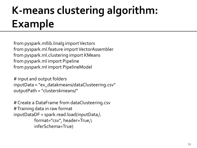from pyspark.mllib.linalg import Vectors from pyspark.ml.feature import VectorAssembler from pyspark.ml.clustering import KMeans from pyspark.ml import Pipeline from pyspark.ml import PipelineModel

# input and output folders inputData = "ex\_datakmeans/dataClusteering.csv" outputPath = "clusterskmeans/"

```
# Create a DataFrame from dataClusteering.csv
# Training data in raw format
inputDataDF = spark.read.load
(inputData
,
\
 format="csv", header=True,
\
          inferSchema=True)
```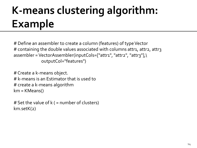# Define an assembler to create a column (features) of type Vector # containing the double values associated with columns attr1, attr2, attr3 assembler = VectorAssembler(inputCols=["attr1", "attr2", "attr3"],\ outputCol="features")

```
# Create a k-means object. 
# k-means is an Estimator that is used to 
# create a k-means algorithm
km = KMeans()
```

```
# Set the value of k ( = number of clusters)
km.setK(2)
```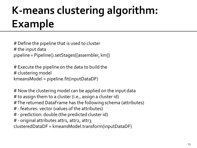# Define the pipeline that is used to cluster # the input data pipeline = Pipeline().setStages([assembler, km])

# Execute the pipeline on the data to build the # clustering model kmeansModel = pipeline.fit(inputDataDF)

# Now the clustering model can be applied on the input data

# to assign them to a cluster (i.e., assign a cluster id)

# The returned DataFrame has the following schema (attributes)

- # features: vector (values of the attributes)
- # prediction: double (the predicted cluster id)
- # original attributes attr1, attr2, attr3

clusteredDataDF = kmeansModel.transform(inputDataDF)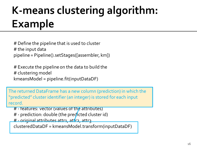# Define the pipeline that is used to cluster # the input data pipeline = Pipeline().setStages([assembler, km])

# Execute the pipeline on the data to build the # clustering model kmeansModel = pipeline.fit(inputDataDF)

The returned DataFrame has a new column (prediction) in which the "predicted" cluster identifier (an integer) is stored for each input  $\mathsf{word}.$  The returned DataFrame has the following schema (attributes)  $\mathsf{pred}$ record.

- # features: vector (values of the attributes)
- # prediction: double (the predicted cluster id)
- # original attributes attr1, attr2, attr2

clusteredDataDF = kmeansModel.transform(inputDataDF)